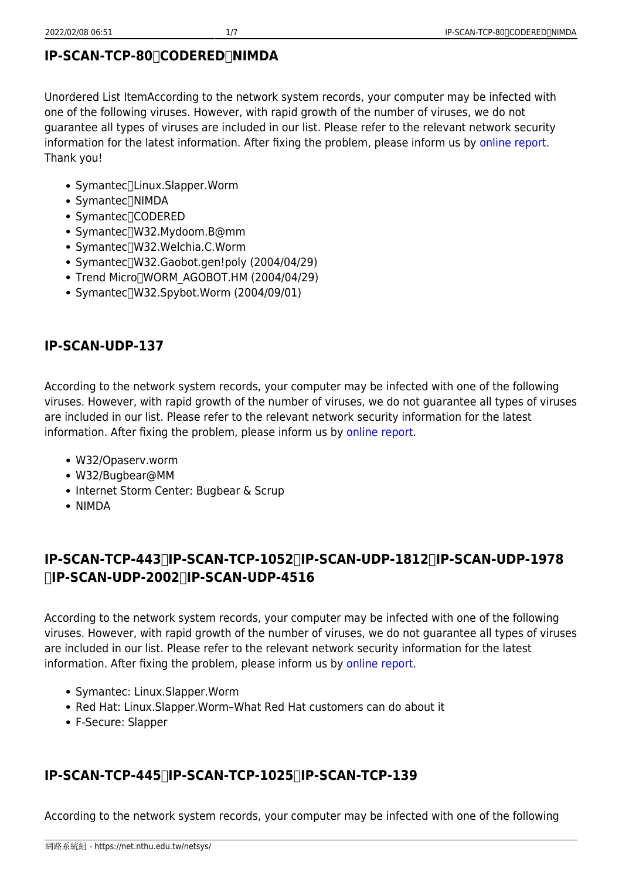## **IP-SCAN-TCP-80/CODERED/NIMDA**

Unordered List ItemAccording to the network system records, your computer may be infected with one of the following viruses. However, with rapid growth of the number of viruses, we do not guarantee all types of viruses are included in our list. Please refer to the relevant network security information for the latest information. After fixing the problem, please inform us by [online report](http://netguard.oz.nthu.edu.tw/cgi-bin/virus/report_Eng.cgi). Thank you!

- Symantec<sup>[</sup>Linux.Slapper.Worm
- Symantec<sup>/</sup>NIMDA
- Symantec<sub>[CODERED</sub>]
- Symantec<sup>/</sup>W32.Mydoom.B@mm
- Symantec<sup>/</sup>IW32.Welchia.C.Worm
- Symantec<sup>[1</sup>W32.Gaobot.gen!poly (2004/04/29)
- Trend Micro<sup>[</sup>WORM\_AGOBOT.HM (2004/04/29)
- $\bullet$  Symantec $\Box$ W32.Spybot.Worm (2004/09/01)

## **IP-SCAN-UDP-137**

According to the network system records, your computer may be infected with one of the following viruses. However, with rapid growth of the number of viruses, we do not guarantee all types of viruses are included in our list. Please refer to the relevant network security information for the latest information. After fixing the problem, please inform us by [online report.](http://netguard.oz.nthu.edu.tw/cgi-bin/virus/report_Eng.cgi)

- W32/Opaserv.worm
- W32/Bugbear@MM
- Internet Storm Center: Bugbear & Scrup
- NIMDA

# **IP-SCAN-TCP-443/IP-SCAN-TCP-1052/IP-SCAN-UDP-1812/IP-SCAN-UDP-1978 /IP-SCAN-UDP-2002/IP-SCAN-UDP-4516**

According to the network system records, your computer may be infected with one of the following viruses. However, with rapid growth of the number of viruses, we do not guarantee all types of viruses are included in our list. Please refer to the relevant network security information for the latest information. After fixing the problem, please inform us by [online report.](http://netguard.oz.nthu.edu.tw/cgi-bin/virus/report_Eng.cgi)

- Symantec: Linux.Slapper.Worm
- Red Hat: Linux.Slapper.Worm–What Red Hat customers can do about it
- F-Secure: Slapper

# **IP-SCAN-TCP-445/IP-SCAN-TCP-1025/IP-SCAN-TCP-139**

According to the network system records, your computer may be infected with one of the following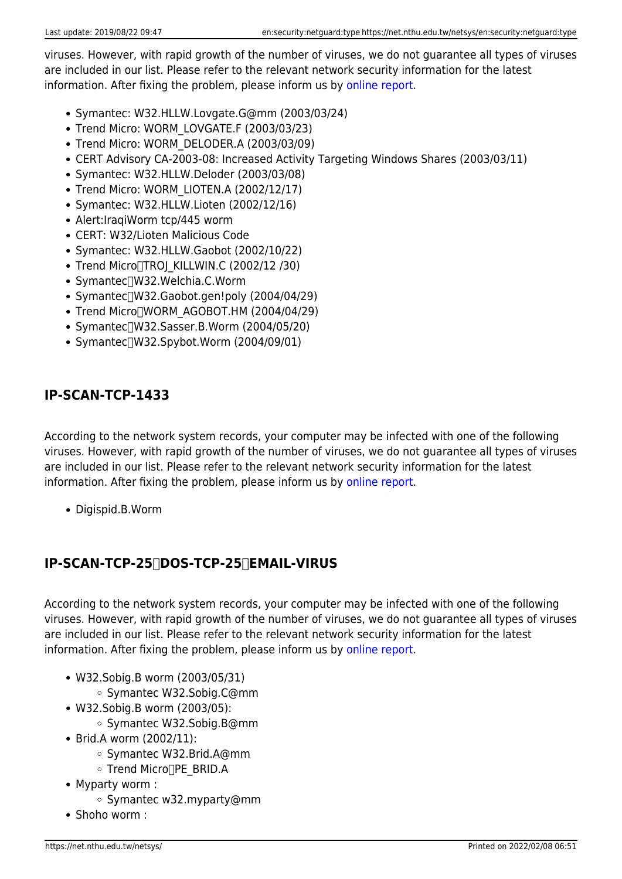viruses. However, with rapid growth of the number of viruses, we do not guarantee all types of viruses are included in our list. Please refer to the relevant network security information for the latest information. After fixing the problem, please inform us by [online report.](http://netguard.oz.nthu.edu.tw/cgi-bin/virus/report_Eng.cgi)

- Symantec: W32.HLLW.Lovgate.G@mm (2003/03/24)
- Trend Micro: WORM\_LOVGATE.F (2003/03/23)
- Trend Micro: WORM\_DELODER.A (2003/03/09)
- CERT Advisory CA-2003-08: Increased Activity Targeting Windows Shares (2003/03/11)
- Symantec: W32.HLLW.Deloder (2003/03/08)
- Trend Micro: WORM LIOTEN.A (2002/12/17)
- Symantec: W32.HLLW.Lioten (2002/12/16)
- Alert:IraqiWorm tcp/445 worm
- CERT: W32/Lioten Malicious Code
- Symantec: W32.HLLW.Gaobot (2002/10/22)
- Trend Micro<sub>[TRO]</sub> KILLWIN.C (2002/12 /30)
- Symantec<sup>/</sup>W32.Welchia.C.Worm
- Symantec[]W32.Gaobot.gen!poly (2004/04/29)
- Trend Micro<sup>[</sup>WORM\_AGOBOT.HM (2004/04/29)
- $\bullet$  Symantec $\Box$ W32.Sasser.B.Worm (2004/05/20)
- $\bullet$  Symantec $\lceil$ W32.Spybot.Worm (2004/09/01)

# **IP-SCAN-TCP-1433**

According to the network system records, your computer may be infected with one of the following viruses. However, with rapid growth of the number of viruses, we do not guarantee all types of viruses are included in our list. Please refer to the relevant network security information for the latest information. After fixing the problem, please inform us by [online report.](http://netguard.oz.nthu.edu.tw/cgi-bin/virus/report_Eng.cgi)

Digispid.B.Worm

# **IP-SCAN-TCP-25/DOS-TCP-25/EMAIL-VIRUS**

According to the network system records, your computer may be infected with one of the following viruses. However, with rapid growth of the number of viruses, we do not guarantee all types of viruses are included in our list. Please refer to the relevant network security information for the latest information. After fixing the problem, please inform us by [online report.](http://netguard.oz.nthu.edu.tw/cgi-bin/virus/report_Eng.cgi)

- W32.Sobig.B worm (2003/05/31)
	- Symantec W32.Sobig.C@mm
- W32.Sobig.B worm (2003/05):
	- Symantec W32.Sobig.B@mm
- Brid.A worm (2002/11):
	- Symantec W32.Brid.A@mm
	- Trend Micro<sub>[PE\_BRID.A</sub>
- Myparty worm :
	- o Symantec w32.myparty@mm
- Shoho worm :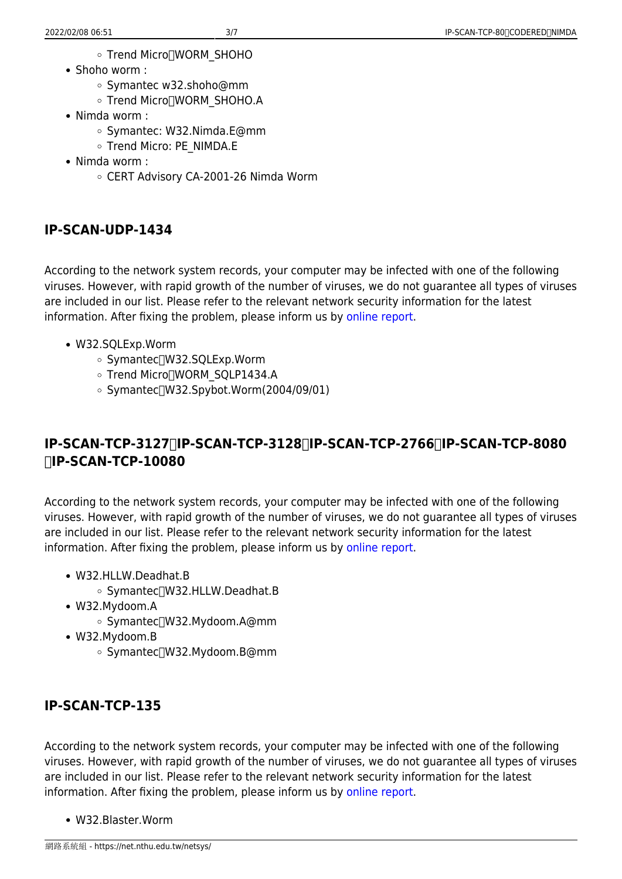- Trend Micro<sup>[</sup>]WORM\_SHOHO
- Shoho worm :
	- Symantec w32.shoho@mm
	- Trend Micro<sup>[</sup>]WORM\_SHOHO.A
- Nimda worm :
	- o Symantec: W32.Nimda.E@mm
	- o Trend Micro: PE\_NIMDA.E
- Nimda worm :
	- CERT Advisory CA-2001-26 Nimda Worm

#### **IP-SCAN-UDP-1434**

According to the network system records, your computer may be infected with one of the following viruses. However, with rapid growth of the number of viruses, we do not guarantee all types of viruses are included in our list. Please refer to the relevant network security information for the latest information. After fixing the problem, please inform us by [online report.](http://netguard.oz.nthu.edu.tw/cgi-bin/virus/report_Eng.cgi)

- W32.SQLExp.Worm
	- Symantec<sup>[1</sup>W32.SQLExp.Worm]
	- o Trend Micro<sup>[]</sup>WORM\_SQLP1434.A
	- $\circ$  Symantec $\sqrt{W32.}$ Spybot.Worm(2004/09/01)

## **IP-SCAN-TCP-3127/IP-SCAN-TCP-3128/IP-SCAN-TCP-2766/IP-SCAN-TCP-8080 /IP-SCAN-TCP-10080**

According to the network system records, your computer may be infected with one of the following viruses. However, with rapid growth of the number of viruses, we do not guarantee all types of viruses are included in our list. Please refer to the relevant network security information for the latest information. After fixing the problem, please inform us by [online report.](http://netguard.oz.nthu.edu.tw/cgi-bin/virus/report_Eng.cgi)

- W32.HLLW.Deadhat.B
	- Symantec<sup>[1</sup>W32.HLLW.Deadhat.B
- W32.Mydoom.A
	- Symantec<sup>[1</sup>W32.Mydoom.A@mm
- W32.Mydoom.B
	- o Symantec<sup>/</sup>W32.Mydoom.B@mm

### **IP-SCAN-TCP-135**

According to the network system records, your computer may be infected with one of the following viruses. However, with rapid growth of the number of viruses, we do not guarantee all types of viruses are included in our list. Please refer to the relevant network security information for the latest information. After fixing the problem, please inform us by [online report.](http://netguard.oz.nthu.edu.tw/cgi-bin/virus/report_Eng.cgi)

W32.Blaster.Worm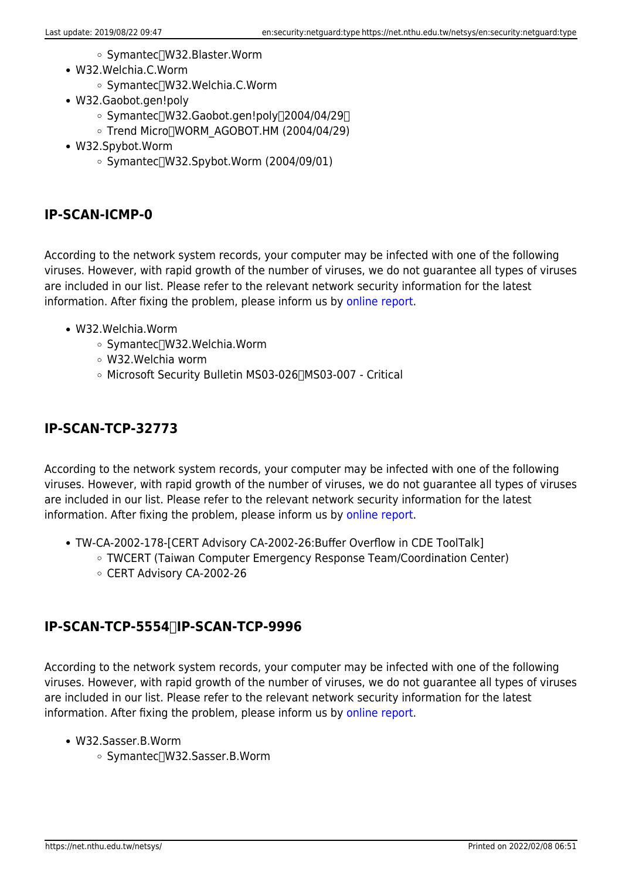- Symantec<sup>[1</sup>W32.Blaster.Worm]
- W32.Welchia.C.Worm
	- Symantec<sup>[1</sup>W32.Welchia.C.Worm
- W32.Gaobot.gen!poly
	- Symantec[]W32.Gaobot.gen!poly[]2004/04/29[]
	- Trend Micro∏WORM AGOBOT.HM (2004/04/29)
- W32.Spybot.Worm
	- $\circ$  Symantec $\sqrt{W32.}$ Spybot.Worm (2004/09/01)

## **IP-SCAN-ICMP-0**

According to the network system records, your computer may be infected with one of the following viruses. However, with rapid growth of the number of viruses, we do not guarantee all types of viruses are included in our list. Please refer to the relevant network security information for the latest information. After fixing the problem, please inform us by [online report.](http://netguard.oz.nthu.edu.tw/cgi-bin/virus/report_Eng.cgi)

- W32.Welchia.Worm
	- Symantec<sup>[1</sup>W32.Welchia.Worm
	- W32.Welchia worm
	- Microsoft Security Bulletin MS03-026 MS03-007 Critical

## **IP-SCAN-TCP-32773**

According to the network system records, your computer may be infected with one of the following viruses. However, with rapid growth of the number of viruses, we do not guarantee all types of viruses are included in our list. Please refer to the relevant network security information for the latest information. After fixing the problem, please inform us by [online report.](http://netguard.oz.nthu.edu.tw/cgi-bin/virus/report_Eng.cgi)

- TW-CA-2002-178-[CERT Advisory CA-2002-26:Buffer Overflow in CDE ToolTalk]
	- TWCERT (Taiwan Computer Emergency Response Team/Coordination Center)
	- CERT Advisory CA-2002-26

### **IP-SCAN-TCP-5554/IP-SCAN-TCP-9996**

According to the network system records, your computer may be infected with one of the following viruses. However, with rapid growth of the number of viruses, we do not guarantee all types of viruses are included in our list. Please refer to the relevant network security information for the latest information. After fixing the problem, please inform us by [online report.](http://netguard.oz.nthu.edu.tw/cgi-bin/virus/report_Eng.cgi)

- W32.Sasser.B.Worm
	- Symantec[]W32.Sasser.B.Worm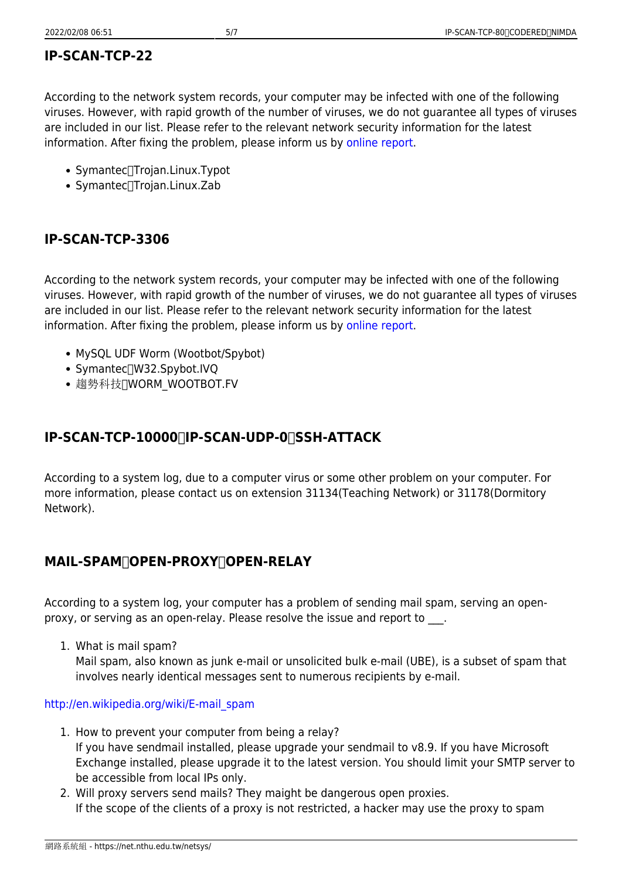#### **IP-SCAN-TCP-22**

According to the network system records, your computer may be infected with one of the following viruses. However, with rapid growth of the number of viruses, we do not guarantee all types of viruses are included in our list. Please refer to the relevant network security information for the latest information. After fixing the problem, please inform us by [online report.](http://netguard.oz.nthu.edu.tw/cgi-bin/virus/report_Eng.cgi)

- Symantec<sup>T</sup>rojan.Linux.Typot
- Symantec<sup>[</sup>Trojan.Linux.Zab

#### **IP-SCAN-TCP-3306**

According to the network system records, your computer may be infected with one of the following viruses. However, with rapid growth of the number of viruses, we do not guarantee all types of viruses are included in our list. Please refer to the relevant network security information for the latest information. After fixing the problem, please inform us by [online report.](http://netguard.oz.nthu.edu.tw/cgi-bin/virus/report_Eng.cgi)

- MySQL UDF Worm (Wootbot/Spybot)
- Symantec<sup>/</sup>W32.Spybot.IVQ
- 趨勢科技∏WORM WOOTBOT.FV

## **IP-SCAN-TCP-10000/IP-SCAN-UDP-0/SSH-ATTACK**

According to a system log, due to a computer virus or some other problem on your computer. For more information, please contact us on extension 31134(Teaching Network) or 31178(Dormitory Network).

#### **MAIL-SPAM/OPEN-PROXY/OPEN-RELAY**

According to a system log, your computer has a problem of sending mail spam, serving an openproxy, or serving as an open-relay. Please resolve the issue and report to  $\Box$ .

1. What is mail spam?

Mail spam, also known as junk e-mail or unsolicited bulk e-mail (UBE), is a subset of spam that involves nearly identical messages sent to numerous recipients by e-mail.

[http://en.wikipedia.org/wiki/E-mail\\_spam](http://en.wikipedia.org/wiki/E-mail_spam)

- 1. How to prevent your computer from being a relay? If you have sendmail installed, please upgrade your sendmail to v8.9. If you have Microsoft Exchange installed, please upgrade it to the latest version. You should limit your SMTP server to be accessible from local IPs only.
- 2. Will proxy servers send mails? They maight be dangerous open proxies. If the scope of the clients of a proxy is not restricted, a hacker may use the proxy to spam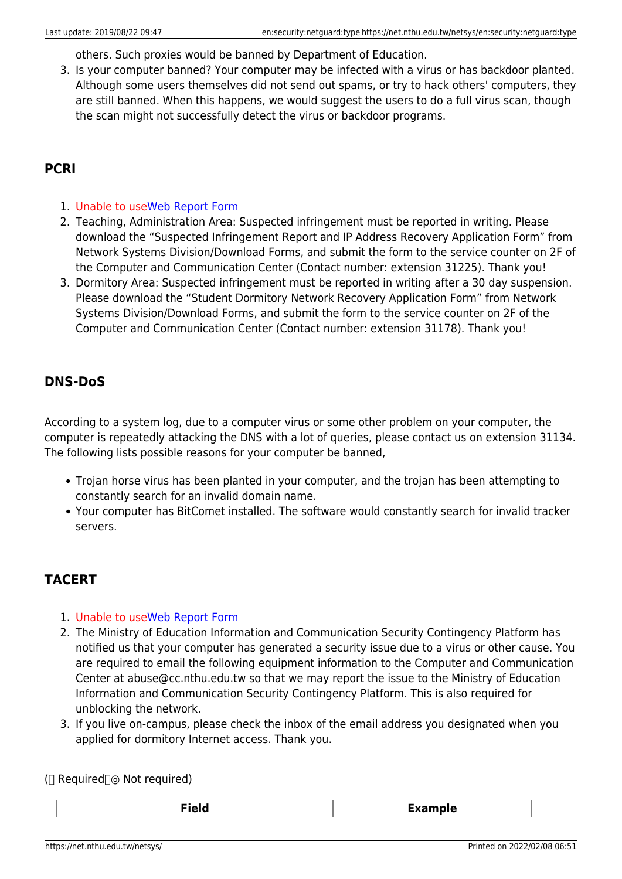others. Such proxies would be banned by Department of Education.

3. Is your computer banned? Your computer may be infected with a virus or has backdoor planted. Although some users themselves did not send out spams, or try to hack others' computers, they are still banned. When this happens, we would suggest the users to do a full virus scan, though the scan might not successfully detect the virus or backdoor programs.

## **PCRI**

- 1. Unable to use[Web Report Form](http://netguard.oz.nthu.edu.tw/cgi-bin/virus/report_Eng.cgi)
- 2. Teaching, Administration Area: Suspected infringement must be reported in writing. Please download the "Suspected Infringement Report and IP Address Recovery Application Form" from Network Systems Division/Download Forms, and submit the form to the service counter on 2F of the Computer and Communication Center (Contact number: extension 31225). Thank you!
- 3. Dormitory Area: Suspected infringement must be reported in writing after a 30 day suspension. Please download the "Student Dormitory Network Recovery Application Form" from Network Systems Division/Download Forms, and submit the form to the service counter on 2F of the Computer and Communication Center (Contact number: extension 31178). Thank you!

### **DNS-DoS**

According to a system log, due to a computer virus or some other problem on your computer, the computer is repeatedly attacking the DNS with a lot of queries, please contact us on extension 31134. The following lists possible reasons for your computer be banned,

- Trojan horse virus has been planted in your computer, and the trojan has been attempting to constantly search for an invalid domain name.
- Your computer has BitComet installed. The software would constantly search for invalid tracker servers.

### **TACERT**

- 1. Unable to use[Web Report Form](http://netguard.oz.nthu.edu.tw/cgi-bin/virus/report_Eng.cgi)
- 2. The Ministry of Education Information and Communication Security Contingency Platform has notified us that your computer has generated a security issue due to a virus or other cause. You are required to email the following equipment information to the Computer and Communication Center at abuse@cc.nthu.edu.tw so that we may report the issue to the Ministry of Education Information and Communication Security Contingency Platform. This is also required for unblocking the network.
- 3. If you live on-campus, please check the inbox of the email address you designated when you applied for dormitory Internet access. Thank you.

( $□$  Required $□$ ◎ Not required)